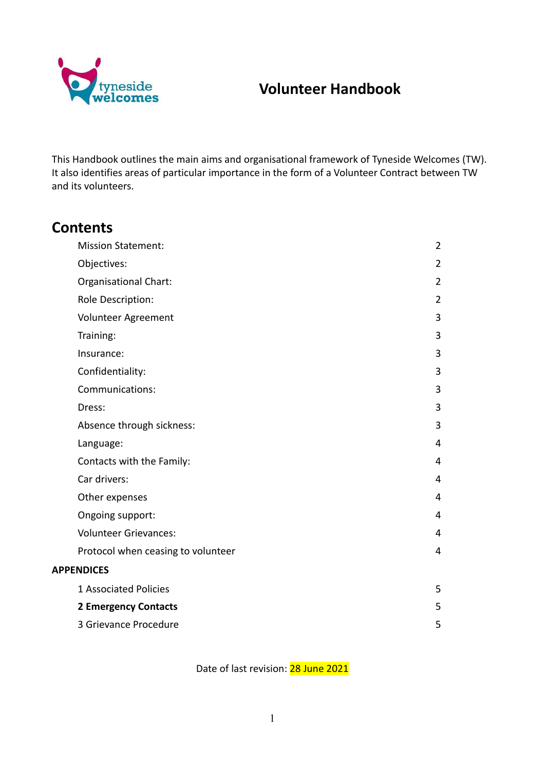

# **Volunteer Handbook**

This Handbook outlines the main aims and organisational framework of Tyneside Welcomes (TW). It also identifies areas of particular importance in the form of a Volunteer Contract between TW and its volunteers.

## **Contents**

| <b>Mission Statement:</b>          | $\overline{2}$ |
|------------------------------------|----------------|
| Objectives:                        | $\overline{2}$ |
| Organisational Chart:              | $\overline{2}$ |
| Role Description:                  | $\overline{2}$ |
| Volunteer Agreement                | 3              |
| Training:                          | 3              |
| Insurance:                         | 3              |
| Confidentiality:                   | 3              |
| Communications:                    | 3              |
| Dress:                             | 3              |
| Absence through sickness:          | 3              |
| Language:                          | 4              |
| Contacts with the Family:          | 4              |
| Car drivers:                       | 4              |
| Other expenses                     | 4              |
| Ongoing support:                   | 4              |
| <b>Volunteer Grievances:</b>       | 4              |
| Protocol when ceasing to volunteer | 4              |
| <b>APPENDICES</b>                  |                |
| 1 Associated Policies              | 5              |
| <b>2 Emergency Contacts</b>        | 5              |
| 3 Grievance Procedure              | 5              |

Date of last revision: 28 June 2021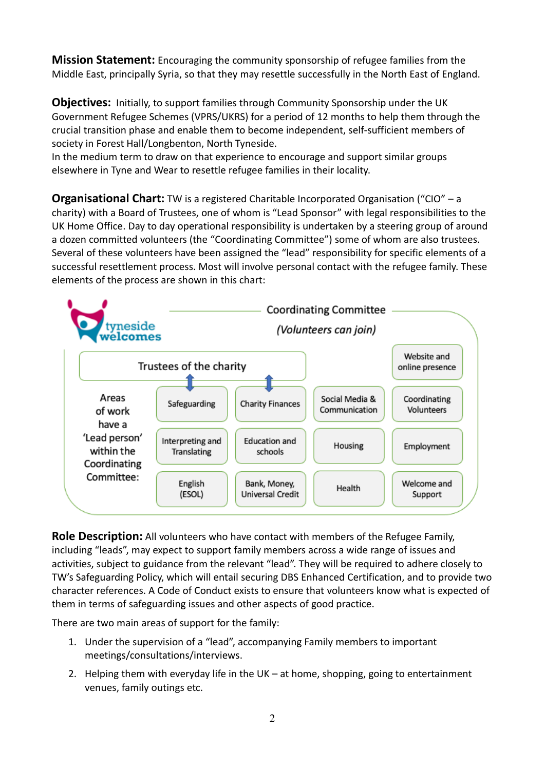<span id="page-1-0"></span>**Mission Statement:** Encouraging the community sponsorship of refugee families from the Middle East, principally Syria, so that they may resettle successfully in the North East of England.

<span id="page-1-1"></span>**Objectives:** Initially, to support families through Community Sponsorship under the UK Government Refugee Schemes (VPRS/UKRS) for a period of 12 months to help them through the crucial transition phase and enable them to become independent, self-sufficient members of society in Forest Hall/Longbenton, North Tyneside.

In the medium term to draw on that experience to encourage and support similar groups elsewhere in Tyne and Wear to resettle refugee families in their locality.

<span id="page-1-2"></span>**Organisational Chart:** TW is a registered Charitable Incorporated Organisation ("CIO" – a charity) with a Board of Trustees, one of whom is "Lead Sponsor" with legal responsibilities to the UK Home Office. Day to day operational responsibility is undertaken by a steering group of around a dozen committed volunteers (the "Coordinating Committee") some of whom are also trustees. Several of these volunteers have been assigned the "lead" responsibility for specific elements of a successful resettlement process. Most will involve personal contact with the refugee family. These elements of the process are shown in this chart:



<span id="page-1-3"></span>**Role Description:** All volunteers who have contact with members of the Refugee Family, including "leads", may expect to support family members across a wide range of issues and activities, subject to guidance from the relevant "lead". They will be required to adhere closely to TW's Safeguarding Policy, which will entail securing DBS Enhanced Certification, and to provide two character references. A Code of Conduct exists to ensure that volunteers know what is expected of them in terms of safeguarding issues and other aspects of good practice.

There are two main areas of support for the family:

- 1. Under the supervision of a "lead", accompanying Family members to important meetings/consultations/interviews.
- 2. Helping them with everyday life in the UK at home, shopping, going to entertainment venues, family outings etc.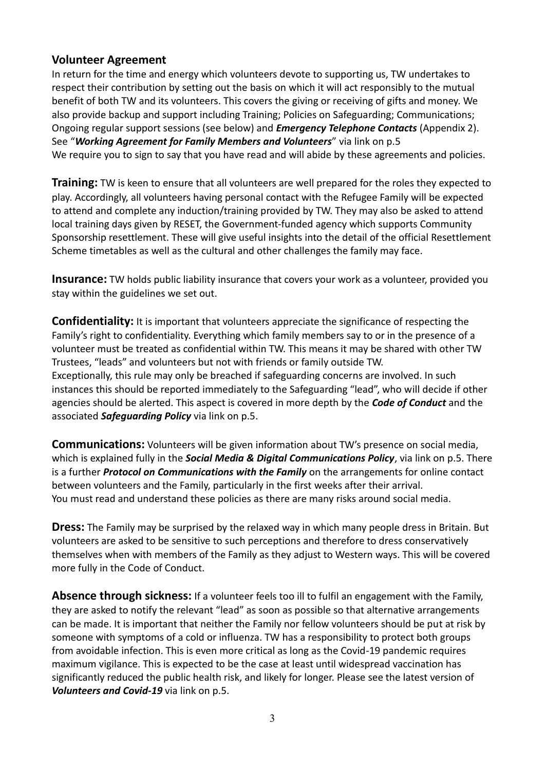### <span id="page-2-0"></span>**Volunteer Agreement**

In return for the time and energy which volunteers devote to supporting us, TW undertakes to respect their contribution by setting out the basis on which it will act responsibly to the mutual benefit of both TW and its volunteers. This covers the giving or receiving of gifts and money. We also provide backup and support including Training; Policies on Safeguarding; Communications; Ongoing regular support sessions (see below) and *Emergency Telephone Contacts* (Appendix 2). See "*Working Agreement for Family Members and Volunteers*" via link on p.5 We require you to sign to say that you have read and will abide by these agreements and policies.

<span id="page-2-1"></span>**Training:** TW is keen to ensure that all volunteers are well prepared for the roles they expected to play. Accordingly, all volunteers having personal contact with the Refugee Family will be expected to attend and complete any induction/training provided by TW. They may also be asked to attend local training days given by RESET, the Government-funded agency which supports Community Sponsorship resettlement. These will give useful insights into the detail of the official Resettlement Scheme timetables as well as the cultural and other challenges the family may face.

<span id="page-2-2"></span>**Insurance:** TW holds public liability insurance that covers your work as a volunteer, provided you stay within the guidelines we set out.

<span id="page-2-3"></span>**Confidentiality:** It is important that volunteers appreciate the significance of respecting the Family's right to confidentiality. Everything which family members say to or in the presence of a volunteer must be treated as confidential within TW. This means it may be shared with other TW Trustees, "leads" and volunteers but not with friends or family outside TW. Exceptionally, this rule may only be breached if safeguarding concerns are involved. In such instances this should be reported immediately to the Safeguarding "lead", who will decide if other agencies should be alerted. This aspect is covered in more depth by the *Code of Conduct* and the associated *Safeguarding Policy* via link on p.5.

<span id="page-2-4"></span>**Communications:** Volunteers will be given information about TW's presence on social media, which is explained fully in the *Social Media & Digital Communications Policy*, via link on p.5. There is a further *Protocol on Communications with the Family* on the arrangements for online contact between volunteers and the Family, particularly in the first weeks after their arrival. You must read and understand these policies as there are many risks around social media.

<span id="page-2-5"></span>**Dress:** The Family may be surprised by the relaxed way in which many people dress in Britain. But volunteers are asked to be sensitive to such perceptions and therefore to dress conservatively themselves when with members of the Family as they adjust to Western ways. This will be covered more fully in the Code of Conduct.

<span id="page-2-6"></span>**Absence through sickness:** If a volunteer feels too ill to fulfil an engagement with the Family, they are asked to notify the relevant "lead" as soon as possible so that alternative arrangements can be made. It is important that neither the Family nor fellow volunteers should be put at risk by someone with symptoms of a cold or influenza. TW has a responsibility to protect both groups from avoidable infection. This is even more critical as long as the Covid-19 pandemic requires maximum vigilance. This is expected to be the case at least until widespread vaccination has significantly reduced the public health risk, and likely for longer. Please see the latest version of *Volunteers and Covid-19* via link on p.5.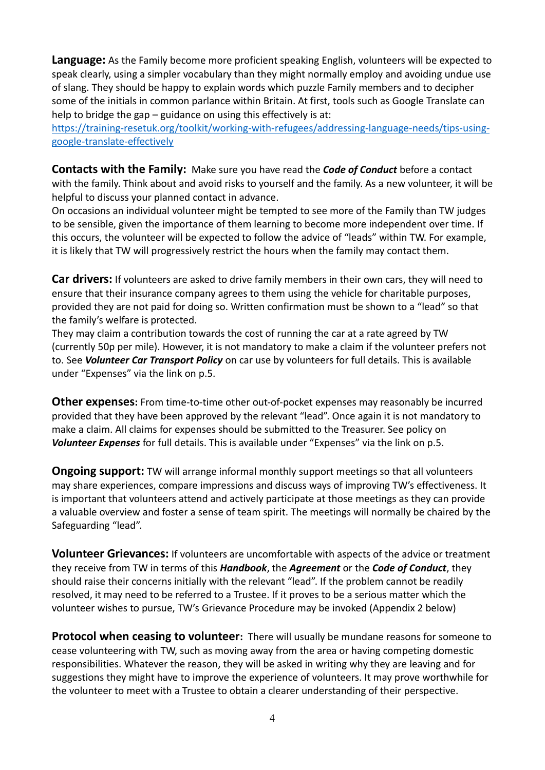<span id="page-3-0"></span>**Language:** As the Family become more proficient speaking English, volunteers will be expected to speak clearly, using a simpler vocabulary than they might normally employ and avoiding undue use of slang. They should be happy to explain words which puzzle Family members and to decipher some of the initials in common parlance within Britain. At first, tools such as Google Translate can help to bridge the gap – guidance on using this effectively is at:

[https://training-resetuk.org/toolkit/working-with-refugees/addressing-language-needs/tips-using](about:blank)[google-translate-effectively](about:blank)

<span id="page-3-1"></span>**Contacts with the Family:** Make sure you have read the *Code of Conduct* before a contact with the family. Think about and avoid risks to yourself and the family. As a new volunteer, it will be helpful to discuss your planned contact in advance.

On occasions an individual volunteer might be tempted to see more of the Family than TW judges to be sensible, given the importance of them learning to become more independent over time. If this occurs, the volunteer will be expected to follow the advice of "leads" within TW. For example, it is likely that TW will progressively restrict the hours when the family may contact them.

<span id="page-3-2"></span>**Car drivers:** If volunteers are asked to drive family members in their own cars, they will need to ensure that their insurance company agrees to them using the vehicle for charitable purposes, provided they are not paid for doing so. Written confirmation must be shown to a "lead" so that the family's welfare is protected.

They may claim a contribution towards the cost of running the car at a rate agreed by TW (currently 50p per mile). However, it is not mandatory to make a claim if the volunteer prefers not to. See *Volunteer Car Transport Policy* on car use by volunteers for full details. This is available under "Expenses" via the link on p.5.

<span id="page-3-3"></span>**Other expenses:** From time-to-time other out-of-pocket expenses may reasonably be incurred provided that they have been approved by the relevant "lead". Once again it is not mandatory to make a claim. All claims for expenses should be submitted to the Treasurer. See policy on *Volunteer Expenses* for full details. This is available under "Expenses" via the link on p.5.

<span id="page-3-4"></span>**Ongoing support:** TW will arrange informal monthly support meetings so that all volunteers may share experiences, compare impressions and discuss ways of improving TW's effectiveness. It is important that volunteers attend and actively participate at those meetings as they can provide a valuable overview and foster a sense of team spirit. The meetings will normally be chaired by the Safeguarding "lead".

<span id="page-3-5"></span>**Volunteer Grievances:** If volunteers are uncomfortable with aspects of the advice or treatment they receive from TW in terms of this *Handbook*, the *Agreement* or the *Code of Conduct*, they should raise their concerns initially with the relevant "lead". If the problem cannot be readily resolved, it may need to be referred to a Trustee. If it proves to be a serious matter which the volunteer wishes to pursue, TW's Grievance Procedure may be invoked (Appendix 2 below)

<span id="page-3-6"></span>**Protocol when ceasing to volunteer:** There will usually be mundane reasons for someone to cease volunteering with TW, such as moving away from the area or having competing domestic responsibilities. Whatever the reason, they will be asked in writing why they are leaving and for suggestions they might have to improve the experience of volunteers. It may prove worthwhile for the volunteer to meet with a Trustee to obtain a clearer understanding of their perspective.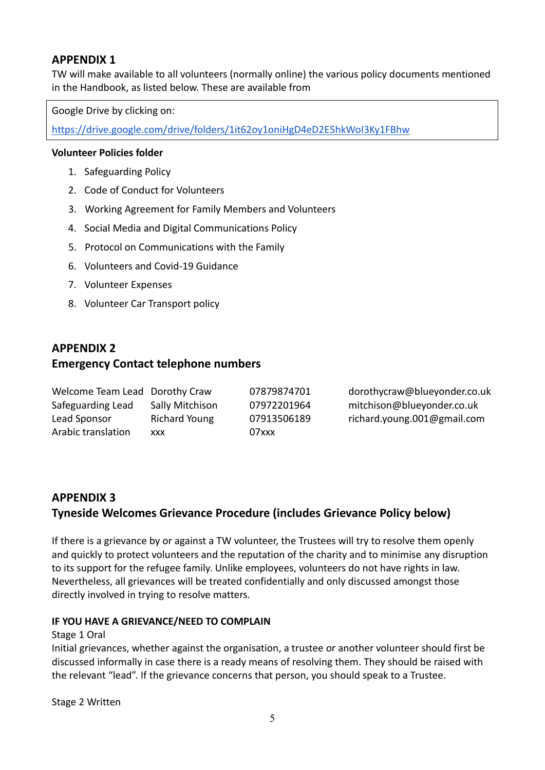## <span id="page-4-0"></span>**APPENDIX 1**

TW will make available to all volunteers (normally online) the various policy documents mentioned in the Handbook, as listed below. These are available from

Google Drive by clicking on:

[https://drive.google.com/drive/folders/1it62oy1oniHgD4eD2E5hkWoI3Ky1FBhw](about:blank)

#### **Volunteer Policies folder**

- 1. Safeguarding Policy
- 2. Code of Conduct for Volunteers
- 3. Working Agreement for Family Members and Volunteers
- 4. Social Media and Digital Communications Policy
- 5. Protocol on Communications with the Family
- 6. Volunteers and Covid-19 Guidance
- 7. Volunteer Expenses
- 8. Volunteer Car Transport policy

## <span id="page-4-1"></span>**APPENDIX 2 Emergency Contact telephone numbers**

| Welcome Team Lead Dorothy Craw |                 | 07879874701 | dorothycraw@blueyonder.co.uk |
|--------------------------------|-----------------|-------------|------------------------------|
| Safeguarding Lead              | Sally Mitchison | 07972201964 | mitchison@blueyonder.co.uk   |
| Lead Sponsor                   | Richard Young   | 07913506189 | richard.young.001@gmail.com  |
| Arabic translation             | <b>XXX</b>      | $07$ xxx    |                              |

## <span id="page-4-2"></span>**APPENDIX 3 Tyneside Welcomes Grievance Procedure (includes Grievance Policy below)**

If there is a grievance by or against a TW volunteer, the Trustees will try to resolve them openly and quickly to protect volunteers and the reputation of the charity and to minimise any disruption to its support for the refugee family. Unlike employees, volunteers do not have rights in law. Nevertheless, all grievances will be treated confidentially and only discussed amongst those directly involved in trying to resolve matters.

#### **IF YOU HAVE A GRIEVANCE/NEED TO COMPLAIN**

#### Stage 1 Oral

Initial grievances, whether against the organisation, a trustee or another volunteer should first be discussed informally in case there is a ready means of resolving them. They should be raised with the relevant "lead". If the grievance concerns that person, you should speak to a Trustee.

Stage 2 Written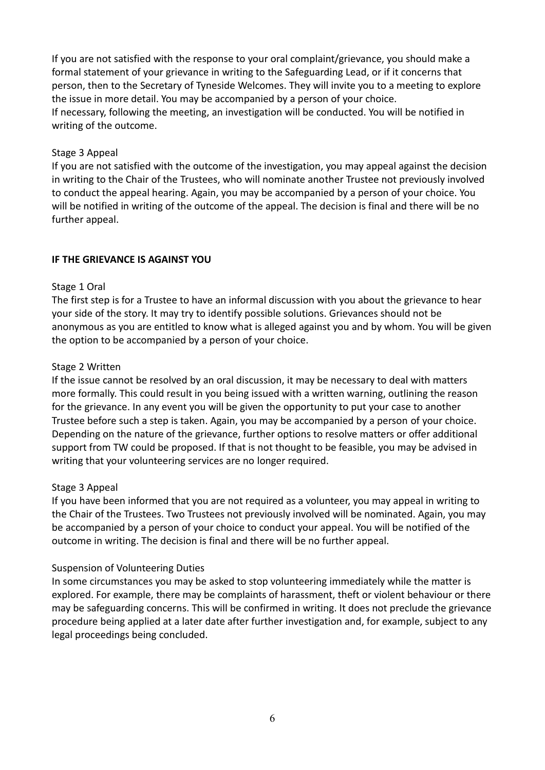If you are not satisfied with the response to your oral complaint/grievance, you should make a formal statement of your grievance in writing to the Safeguarding Lead, or if it concerns that person, then to the Secretary of Tyneside Welcomes. They will invite you to a meeting to explore the issue in more detail. You may be accompanied by a person of your choice. If necessary, following the meeting, an investigation will be conducted. You will be notified in writing of the outcome.

#### Stage 3 Appeal

If you are not satisfied with the outcome of the investigation, you may appeal against the decision in writing to the Chair of the Trustees, who will nominate another Trustee not previously involved to conduct the appeal hearing. Again, you may be accompanied by a person of your choice. You will be notified in writing of the outcome of the appeal. The decision is final and there will be no further appeal.

#### **IF THE GRIEVANCE IS AGAINST YOU**

#### Stage 1 Oral

The first step is for a Trustee to have an informal discussion with you about the grievance to hear your side of the story. It may try to identify possible solutions. Grievances should not be anonymous as you are entitled to know what is alleged against you and by whom. You will be given the option to be accompanied by a person of your choice.

#### Stage 2 Written

If the issue cannot be resolved by an oral discussion, it may be necessary to deal with matters more formally. This could result in you being issued with a written warning, outlining the reason for the grievance. In any event you will be given the opportunity to put your case to another Trustee before such a step is taken. Again, you may be accompanied by a person of your choice. Depending on the nature of the grievance, further options to resolve matters or offer additional support from TW could be proposed. If that is not thought to be feasible, you may be advised in writing that your volunteering services are no longer required.

#### Stage 3 Appeal

If you have been informed that you are not required as a volunteer, you may appeal in writing to the Chair of the Trustees. Two Trustees not previously involved will be nominated. Again, you may be accompanied by a person of your choice to conduct your appeal. You will be notified of the outcome in writing. The decision is final and there will be no further appeal.

#### Suspension of Volunteering Duties

In some circumstances you may be asked to stop volunteering immediately while the matter is explored. For example, there may be complaints of harassment, theft or violent behaviour or there may be safeguarding concerns. This will be confirmed in writing. It does not preclude the grievance procedure being applied at a later date after further investigation and, for example, subject to any legal proceedings being concluded.